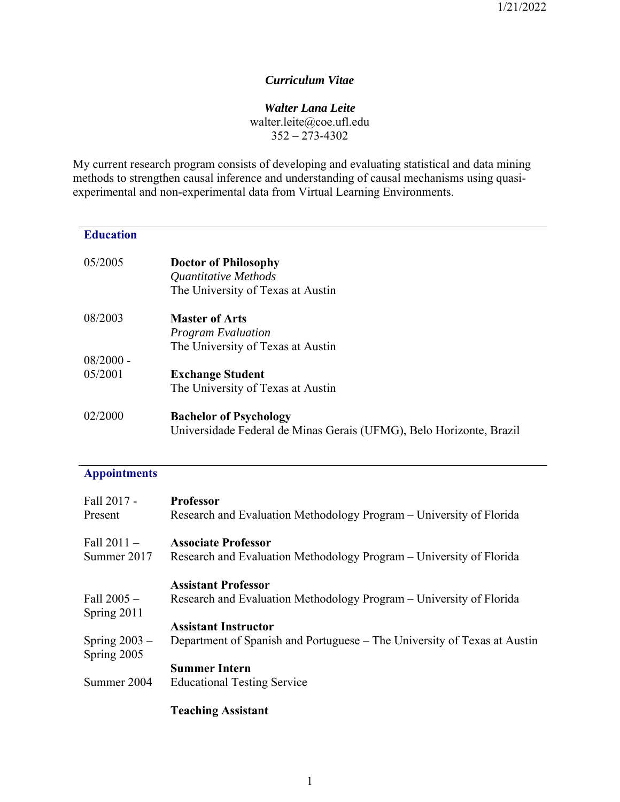# *Curriculum Vitae*

### *Walter Lana Leite*

walter.leite@coe.ufl.edu  $352 - 273 - 4302$ 

My current research program consists of developing and evaluating statistical and data mining methods to strengthen causal inference and understanding of causal mechanisms using quasiexperimental and non-experimental data from Virtual Learning Environments.

# **Education**

| 05/2005     | <b>Doctor of Philosophy</b><br>Quantitative Methods<br>The University of Texas at Austin             |
|-------------|------------------------------------------------------------------------------------------------------|
| 08/2003     | <b>Master of Arts</b>                                                                                |
|             | <b>Program Evaluation</b>                                                                            |
|             | The University of Texas at Austin                                                                    |
| $08/2000 -$ |                                                                                                      |
| 05/2001     | <b>Exchange Student</b>                                                                              |
|             | The University of Texas at Austin                                                                    |
| 02/2000     | <b>Bachelor of Psychology</b><br>Universidade Federal de Minas Gerais (UFMG), Belo Horizonte, Brazil |

# **Appointments**

| Fall 2017 -<br>Present         | <b>Professor</b><br>Research and Evaluation Methodology Program – University of Florida           |
|--------------------------------|---------------------------------------------------------------------------------------------------|
| Fall $2011 -$<br>Summer 2017   | <b>Associate Professor</b><br>Research and Evaluation Methodology Program – University of Florida |
|                                | <b>Assistant Professor</b>                                                                        |
| Fall $2005 -$<br>Spring 2011   | Research and Evaluation Methodology Program – University of Florida                               |
|                                | <b>Assistant Instructor</b>                                                                       |
| Spring $2003 -$<br>Spring 2005 | Department of Spanish and Portuguese – The University of Texas at Austin                          |
|                                | <b>Summer Intern</b>                                                                              |
| Summer 2004                    | <b>Educational Testing Service</b>                                                                |
|                                |                                                                                                   |

# **Teaching Assistant**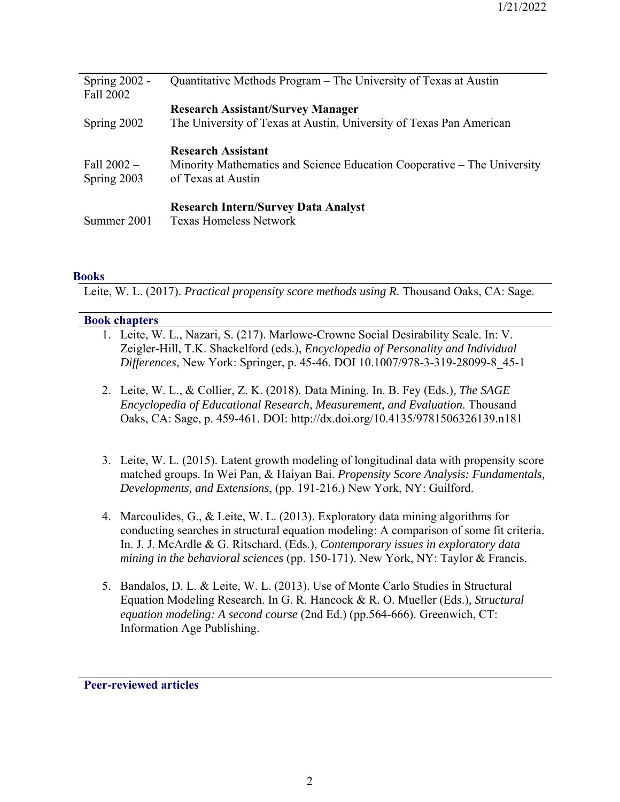| Spring $2002$ -<br>Fall 2002 | Quantitative Methods Program – The University of Texas at Austin                                                           |
|------------------------------|----------------------------------------------------------------------------------------------------------------------------|
| Spring 2002                  | <b>Research Assistant/Survey Manager</b><br>The University of Texas at Austin, University of Texas Pan American            |
| Fall $2002 -$<br>Spring 2003 | <b>Research Assistant</b><br>Minority Mathematics and Science Education Cooperative – The University<br>of Texas at Austin |
| Summer 2001                  | <b>Research Intern/Survey Data Analyst</b><br><b>Texas Homeless Network</b>                                                |

#### **Books**

Leite, W. L. (2017). *Practical propensity score methods using R*. Thousand Oaks, CA: Sage.

#### **Book chapters**

- 1. Leite, W. L., Nazari, S. (217). Marlowe-Crowne Social Desirability Scale. In: V. Zeigler-Hill, T.K. Shackelford (eds.), *Encyclopedia of Personality and Individual Differences*, New York: Springer, p. 45-46. DOI 10.1007/978-3-319-28099-8\_45-1
- 2. Leite, W. L., & Collier, Z. K. (2018). Data Mining. In. B. Fey (Eds.), *The SAGE Encyclopedia of Educational Research, Measurement, and Evaluation*. Thousand Oaks, CA: Sage, p. 459-461. DOI: http://dx.doi.org/10.4135/9781506326139.n181
- 3. Leite, W. L. (2015). Latent growth modeling of longitudinal data with propensity score matched groups. In Wei Pan, & Haiyan Bai. *Propensity Score Analysis: Fundamentals, Developments, and Extensions*, (pp. 191-216.) New York, NY: Guilford.
- 4. Marcoulides, G., & Leite, W. L. (2013). Exploratory data mining algorithms for conducting searches in structural equation modeling: A comparison of some fit criteria. In. J. J. McArdle & G. Ritschard. (Eds.), *Contemporary issues in exploratory data mining in the behavioral sciences* (pp. 150-171). New York, NY: Taylor & Francis.
- 5. Bandalos, D. L. & Leite, W. L. (2013). Use of Monte Carlo Studies in Structural Equation Modeling Research. In G. R. Hancock & R. O. Mueller (Eds.), *Structural equation modeling: A second course* (2nd Ed.) (pp.564-666). Greenwich, CT: Information Age Publishing.

**Peer-reviewed articles**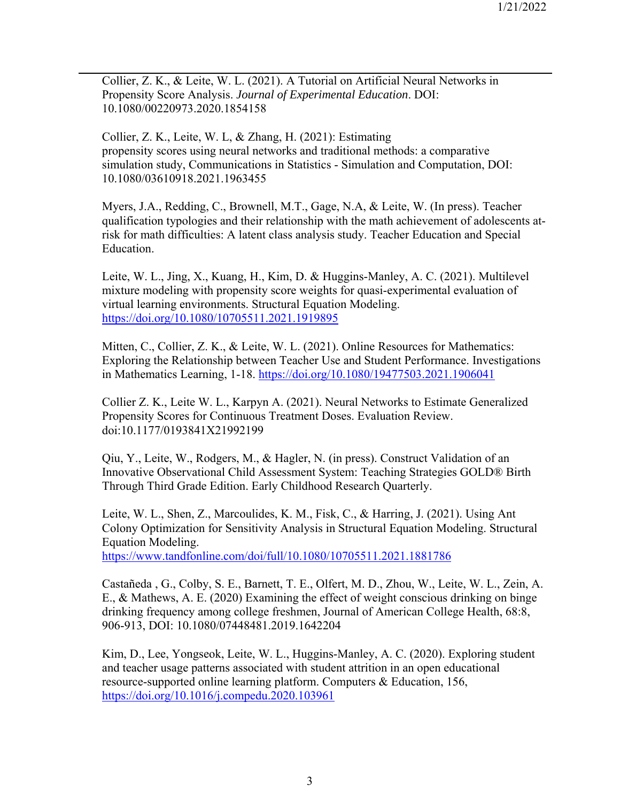Collier, Z. K., & Leite, W. L. (2021). A Tutorial on Artificial Neural Networks in Propensity Score Analysis. *Journal of Experimental Education*. DOI: 10.1080/00220973.2020.1854158

Collier, Z. K., Leite, W. L, & Zhang, H. (2021): Estimating propensity scores using neural networks and traditional methods: a comparative simulation study, Communications in Statistics - Simulation and Computation, DOI: 10.1080/03610918.2021.1963455

Myers, J.A., Redding, C., Brownell, M.T., Gage, N.A, & Leite, W. (In press). Teacher qualification typologies and their relationship with the math achievement of adolescents atrisk for math difficulties: A latent class analysis study. Teacher Education and Special Education.

Leite, W. L., Jing, X., Kuang, H., Kim, D. & Huggins-Manley, A. C. (2021). Multilevel mixture modeling with propensity score weights for quasi-experimental evaluation of virtual learning environments. Structural Equation Modeling. https://doi.org/10.1080/10705511.2021.1919895

Mitten, C., Collier, Z. K., & Leite, W. L. (2021). Online Resources for Mathematics: Exploring the Relationship between Teacher Use and Student Performance. Investigations in Mathematics Learning, 1-18. https://doi.org/10.1080/19477503.2021.1906041

Collier Z. K., Leite W. L., Karpyn A. (2021). Neural Networks to Estimate Generalized Propensity Scores for Continuous Treatment Doses. Evaluation Review. doi:10.1177/0193841X21992199

Qiu, Y., Leite, W., Rodgers, M., & Hagler, N. (in press). Construct Validation of an Innovative Observational Child Assessment System: Teaching Strategies GOLD® Birth Through Third Grade Edition. Early Childhood Research Quarterly.

Leite, W. L., Shen, Z., Marcoulides, K. M., Fisk, C., & Harring, J. (2021). Using Ant Colony Optimization for Sensitivity Analysis in Structural Equation Modeling. Structural Equation Modeling.

https://www.tandfonline.com/doi/full/10.1080/10705511.2021.1881786

Castañeda , G., Colby, S. E., Barnett, T. E., Olfert, M. D., Zhou, W., Leite, W. L., Zein, A. E., & Mathews, A. E. (2020) Examining the effect of weight conscious drinking on binge drinking frequency among college freshmen, Journal of American College Health, 68:8, 906-913, DOI: 10.1080/07448481.2019.1642204

Kim, D., Lee, Yongseok, Leite, W. L., Huggins-Manley, A. C. (2020). Exploring student and teacher usage patterns associated with student attrition in an open educational resource-supported online learning platform. Computers & Education, 156, https://doi.org/10.1016/j.compedu.2020.103961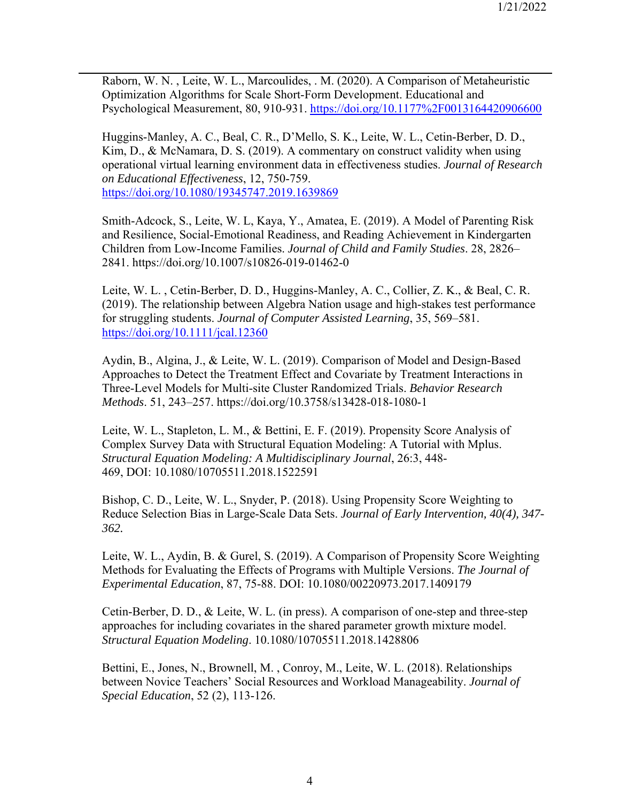Raborn, W. N. , Leite, W. L., Marcoulides, . M. (2020). A Comparison of Metaheuristic Optimization Algorithms for Scale Short-Form Development. Educational and Psychological Measurement, 80, 910-931. https://doi.org/10.1177%2F0013164420906600

Huggins-Manley, A. C., Beal, C. R., D'Mello, S. K., Leite, W. L., Cetin-Berber, D. D., Kim, D., & McNamara, D. S. (2019). A commentary on construct validity when using operational virtual learning environment data in effectiveness studies. *Journal of Research on Educational Effectiveness*, 12, 750-759. https://doi.org/10.1080/19345747.2019.1639869

Smith-Adcock, S., Leite, W. L, Kaya, Y., Amatea, E. (2019). A Model of Parenting Risk and Resilience, Social-Emotional Readiness, and Reading Achievement in Kindergarten Children from Low-Income Families. *Journal of Child and Family Studies*. 28, 2826– 2841. https://doi.org/10.1007/s10826-019-01462-0

Leite, W. L. , Cetin-Berber, D. D., Huggins-Manley, A. C., Collier, Z. K., & Beal, C. R. (2019). The relationship between Algebra Nation usage and high‐stakes test performance for struggling students. *Journal of Computer Assisted Learning*, 35, 569–581. https://doi.org/10.1111/jcal.12360

Aydin, B., Algina, J., & Leite, W. L. (2019). Comparison of Model and Design-Based Approaches to Detect the Treatment Effect and Covariate by Treatment Interactions in Three-Level Models for Multi-site Cluster Randomized Trials. *Behavior Research Methods*. 51, 243–257. https://doi.org/10.3758/s13428-018-1080-1

Leite, W. L., Stapleton, L. M., & Bettini, E. F. (2019). Propensity Score Analysis of Complex Survey Data with Structural Equation Modeling: A Tutorial with Mplus. *Structural Equation Modeling: A Multidisciplinary Journal*, 26:3, 448- 469, DOI: 10.1080/10705511.2018.1522591

Bishop, C. D., Leite, W. L., Snyder, P. (2018). Using Propensity Score Weighting to Reduce Selection Bias in Large-Scale Data Sets. *Journal of Early Intervention, 40(4), 347- 362.* 

Leite, W. L., Aydin, B. & Gurel, S. (2019). A Comparison of Propensity Score Weighting Methods for Evaluating the Effects of Programs with Multiple Versions. *The Journal of Experimental Education*, 87, 75-88. DOI: 10.1080/00220973.2017.1409179

Cetin-Berber, D. D., & Leite, W. L. (in press). A comparison of one-step and three-step approaches for including covariates in the shared parameter growth mixture model. *Structural Equation Modeling*. 10.1080/10705511.2018.1428806

Bettini, E., Jones, N., Brownell, M. , Conroy, M., Leite, W. L. (2018). Relationships between Novice Teachers' Social Resources and Workload Manageability. *Journal of Special Education*, 52 (2), 113-126.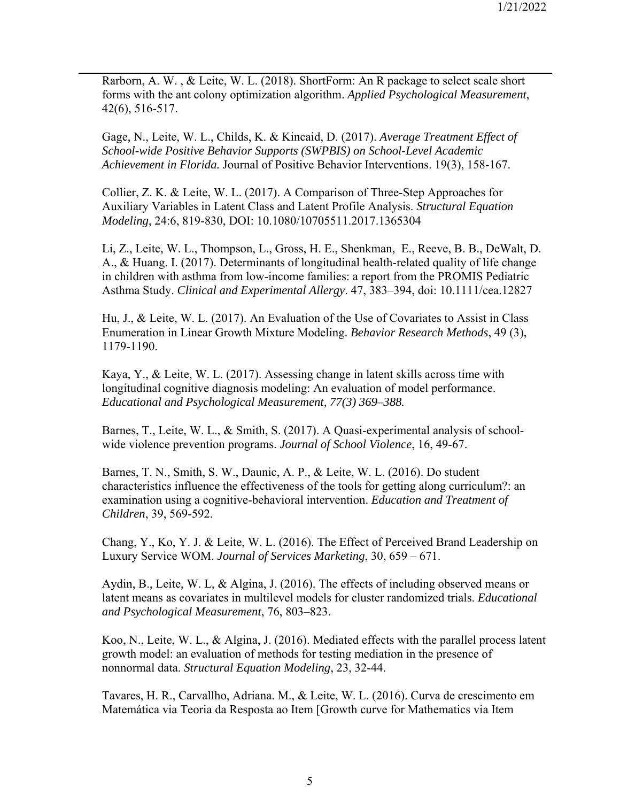Rarborn, A. W. , & Leite, W. L. (2018). ShortForm: An R package to select scale short forms with the ant colony optimization algorithm. *Applied Psychological Measurement*, 42(6), 516-517.

Gage, N., Leite, W. L., Childs, K. & Kincaid, D. (2017). *Average Treatment Effect of School-wide Positive Behavior Supports (SWPBIS) on School-Level Academic Achievement in Florida.* Journal of Positive Behavior Interventions. 19(3), 158-167.

Collier, Z. K. & Leite, W. L. (2017). A Comparison of Three-Step Approaches for Auxiliary Variables in Latent Class and Latent Profile Analysis. *Structural Equation Modeling*, 24:6, 819-830, DOI: 10.1080/10705511.2017.1365304

Li, Z., Leite, W. L., Thompson, L., Gross, H. E., Shenkman, E., Reeve, B. B., DeWalt, D. A., & Huang. I. (2017). Determinants of longitudinal health-related quality of life change in children with asthma from low-income families: a report from the PROMIS Pediatric Asthma Study. *Clinical and Experimental Allergy*. 47, 383–394, doi: 10.1111/cea.12827

Hu, J., & Leite, W. L. (2017). An Evaluation of the Use of Covariates to Assist in Class Enumeration in Linear Growth Mixture Modeling. *Behavior Research Methods*, 49 (3), 1179-1190.

Kaya, Y., & Leite, W. L. (2017). Assessing change in latent skills across time with longitudinal cognitive diagnosis modeling: An evaluation of model performance. *Educational and Psychological Measurement, 77(3) 369–388.* 

Barnes, T., Leite, W. L., & Smith, S. (2017). A Quasi-experimental analysis of schoolwide violence prevention programs. *Journal of School Violence*, 16, 49-67.

Barnes, T. N., Smith, S. W., Daunic, A. P., & Leite, W. L. (2016). Do student characteristics influence the effectiveness of the tools for getting along curriculum?: an examination using a cognitive-behavioral intervention. *Education and Treatment of Children*, 39, 569-592.

Chang, Y., Ko, Y. J. & Leite, W. L. (2016). The Effect of Perceived Brand Leadership on Luxury Service WOM. *Journal of Services Marketing*, 30, 659 – 671.

Aydin, B., Leite, W. L, & Algina, J. (2016). The effects of including observed means or latent means as covariates in multilevel models for cluster randomized trials. *Educational and Psychological Measurement*, 76, 803–823.

Koo, N., Leite, W. L., & Algina, J. (2016). Mediated effects with the parallel process latent growth model: an evaluation of methods for testing mediation in the presence of nonnormal data. *Structural Equation Modeling*, 23, 32-44.

Tavares, H. R., Carvallho, Adriana. M., & Leite, W. L. (2016). Curva de crescimento em Matemática via Teoria da Resposta ao Item [Growth curve for Mathematics via Item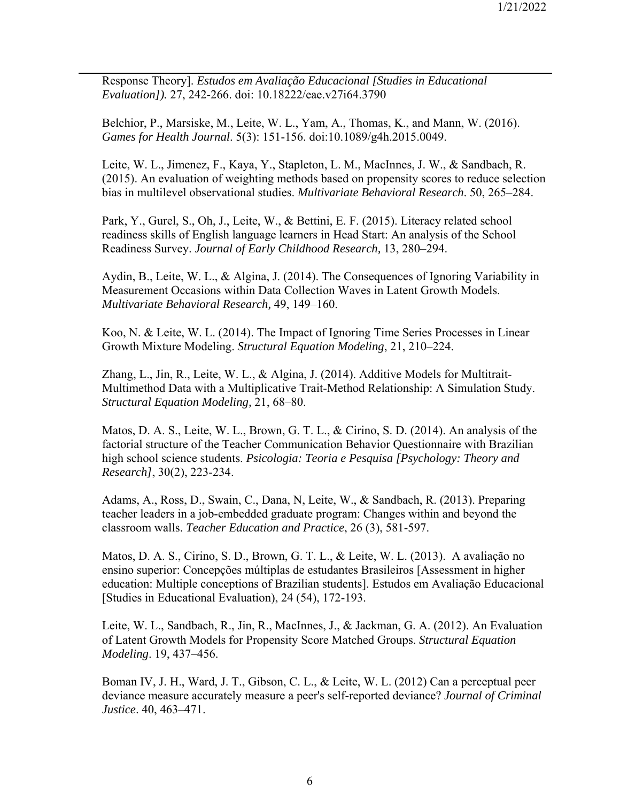Response Theory]. *Estudos em Avaliação Educacional [Studies in Educational Evaluation]).* 27, 242-266. doi: 10.18222/eae.v27i64.3790

Belchior, P., Marsiske, M., Leite, W. L., Yam, A., Thomas, K., and Mann, W. (2016). *Games for Health Journal*. 5(3): 151-156. doi:10.1089/g4h.2015.0049.

Leite, W. L., Jimenez, F., Kaya, Y., Stapleton, L. M., MacInnes, J. W., & Sandbach, R. (2015). An evaluation of weighting methods based on propensity scores to reduce selection bias in multilevel observational studies. *Multivariate Behavioral Research*. 50, 265–284.

Park, Y., Gurel, S., Oh, J., Leite, W., & Bettini, E. F. (2015). Literacy related school readiness skills of English language learners in Head Start: An analysis of the School Readiness Survey. *Journal of Early Childhood Research,* 13, 280–294.

Aydin, B., Leite, W. L., & Algina, J. (2014). The Consequences of Ignoring Variability in Measurement Occasions within Data Collection Waves in Latent Growth Models. *Multivariate Behavioral Research,* 49, 149–160.

Koo, N. & Leite, W. L. (2014). The Impact of Ignoring Time Series Processes in Linear Growth Mixture Modeling. *Structural Equation Modeling*, 21, 210–224.

Zhang, L., Jin, R., Leite, W. L., & Algina, J. (2014). Additive Models for Multitrait-Multimethod Data with a Multiplicative Trait-Method Relationship: A Simulation Study. *Structural Equation Modeling,* 21, 68–80.

Matos, D. A. S., Leite, W. L., Brown, G. T. L., & Cirino, S. D. (2014). An analysis of the factorial structure of the Teacher Communication Behavior Questionnaire with Brazilian high school science students. *Psicologia: Teoria e Pesquisa [Psychology: Theory and Research]*, 30(2), 223-234.

Adams, A., Ross, D., Swain, C., Dana, N, Leite, W., & Sandbach, R. (2013). Preparing teacher leaders in a job-embedded graduate program: Changes within and beyond the classroom walls. *Teacher Education and Practice*, 26 (3), 581-597.

Matos, D. A. S., Cirino, S. D., Brown, G. T. L., & Leite, W. L. (2013). A avaliação no ensino superior: Concepções múltiplas de estudantes Brasileiros [Assessment in higher education: Multiple conceptions of Brazilian students]. Estudos em Avaliação Educacional [Studies in Educational Evaluation), 24 (54), 172-193.

Leite, W. L., Sandbach, R., Jin, R., MacInnes, J., & Jackman, G. A. (2012). An Evaluation of Latent Growth Models for Propensity Score Matched Groups. *Structural Equation Modeling*. 19, 437–456.

Boman IV, J. H., Ward, J. T., Gibson, C. L., & Leite, W. L. (2012) Can a perceptual peer deviance measure accurately measure a peer's self-reported deviance? *Journal of Criminal Justice*. 40, 463–471.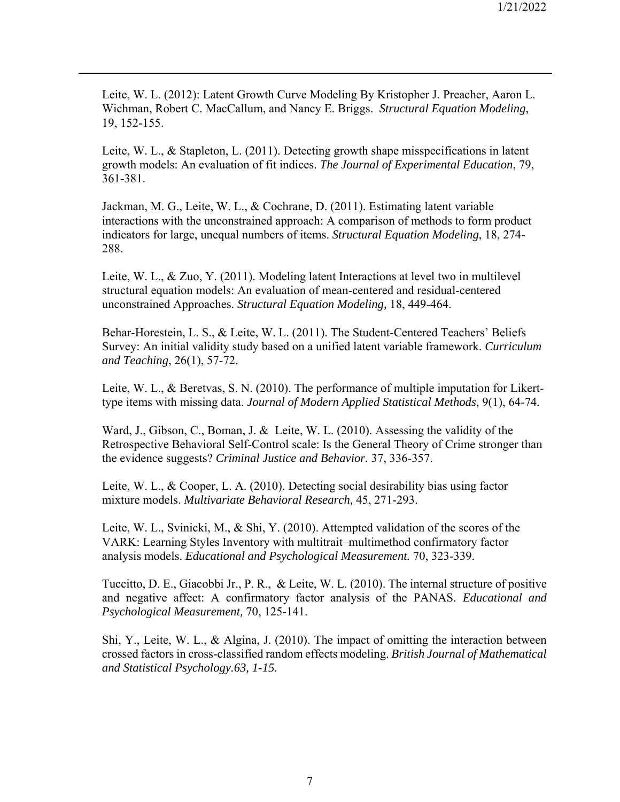Leite, W. L. (2012): Latent Growth Curve Modeling By Kristopher J. Preacher, Aaron L. Wichman, Robert C. MacCallum, and Nancy E. Briggs. *Structural Equation Modeling*, 19, 152-155.

Leite, W. L., & Stapleton, L. (2011). Detecting growth shape misspecifications in latent growth models: An evaluation of fit indices. *The Journal of Experimental Education*, 79, 361-381.

Jackman, M. G., Leite, W. L., & Cochrane, D. (2011). Estimating latent variable interactions with the unconstrained approach: A comparison of methods to form product indicators for large, unequal numbers of items. *Structural Equation Modeling*, 18, 274- 288.

Leite, W. L., & Zuo, Y. (2011). Modeling latent Interactions at level two in multilevel structural equation models: An evaluation of mean-centered and residual-centered unconstrained Approaches. *Structural Equation Modeling,* 18, 449-464.

Behar-Horestein, L. S., & Leite, W. L. (2011). The Student-Centered Teachers' Beliefs Survey: An initial validity study based on a unified latent variable framework. *Curriculum and Teaching*, 26(1), 57-72.

Leite, W. L., & Beretvas, S. N. (2010). The performance of multiple imputation for Likerttype items with missing data. *Journal of Modern Applied Statistical Methods*, 9(1), 64-74*.*

Ward, J., Gibson, C., Boman, J. & Leite, W. L. (2010). Assessing the validity of the Retrospective Behavioral Self-Control scale: Is the General Theory of Crime stronger than the evidence suggests? *Criminal Justice and Behavior.* 37, 336-357.

Leite, W. L., & Cooper, L. A. (2010). Detecting social desirability bias using factor mixture models. *Multivariate Behavioral Research,* 45, 271-293.

Leite, W. L., Svinicki, M., & Shi, Y. (2010). Attempted validation of the scores of the VARK: Learning Styles Inventory with multitrait–multimethod confirmatory factor analysis models. *Educational and Psychological Measurement.* 70, 323-339.

Tuccitto, D. E., Giacobbi Jr., P. R., & Leite, W. L. (2010). The internal structure of positive and negative affect: A confirmatory factor analysis of the PANAS. *Educational and Psychological Measurement,* 70, 125-141.

Shi, Y., Leite, W. L., & Algina, J. (2010). The impact of omitting the interaction between crossed factors in cross-classified random effects modeling. *British Journal of Mathematical and Statistical Psychology.63, 1-15.*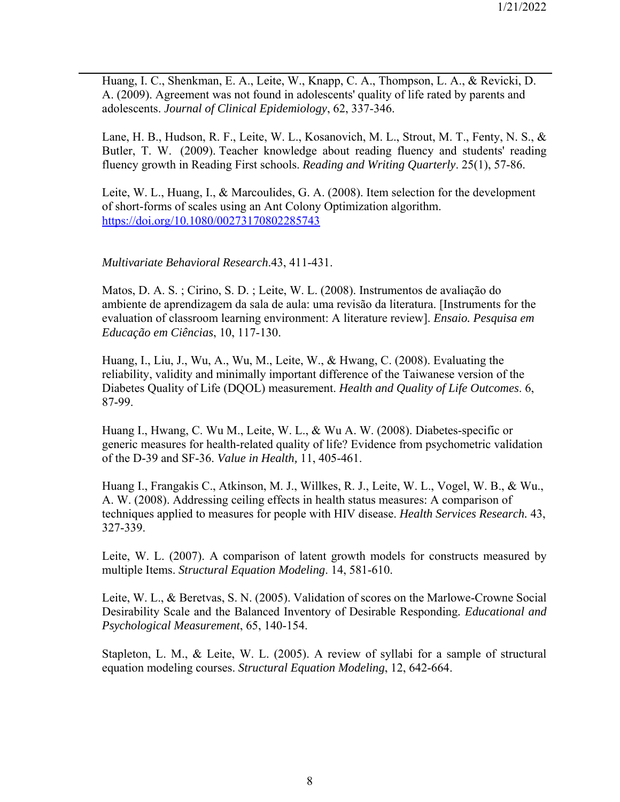Huang, I. C., Shenkman, E. A., Leite, W., Knapp, C. A., Thompson, L. A., & Revicki, D. A. (2009). Agreement was not found in adolescents' quality of life rated by parents and adolescents. *Journal of Clinical Epidemiology*, 62, 337-346.

Lane, H. B., Hudson, R. F., Leite, W. L., Kosanovich, M. L., Strout, M. T., Fenty, N. S., & Butler, T. W. (2009). Teacher knowledge about reading fluency and students' reading fluency growth in Reading First schools. *Reading and Writing Quarterly*. 25(1), 57-86.

Leite, W. L., Huang, I., & Marcoulides, G. A. (2008). Item selection for the development of short-forms of scales using an Ant Colony Optimization algorithm. https://doi.org/10.1080/00273170802285743

#### *Multivariate Behavioral Research*.43, 411-431.

Matos, D. A. S. ; Cirino, S. D. ; Leite, W. L. (2008). Instrumentos de avaliação do ambiente de aprendizagem da sala de aula: uma revisão da literatura. [Instruments for the evaluation of classroom learning environment: A literature review]. *Ensaio. Pesquisa em Educação em Ciências*, 10, 117-130.

Huang, I., Liu, J., Wu, A., Wu, M., Leite, W., & Hwang, C. (2008). Evaluating the reliability, validity and minimally important difference of the Taiwanese version of the Diabetes Quality of Life (DQOL) measurement. *Health and Quality of Life Outcomes*. 6, 87-99.

Huang I., Hwang, C. Wu M., Leite, W. L., & Wu A. W. (2008). Diabetes-specific or generic measures for health-related quality of life? Evidence from psychometric validation of the D-39 and SF-36. *Value in Health,* 11, 405-461.

Huang I., Frangakis C., Atkinson, M. J., Willkes, R. J., Leite, W. L., Vogel, W. B., & Wu., A. W. (2008). Addressing ceiling effects in health status measures: A comparison of techniques applied to measures for people with HIV disease. *Health Services Research.* 43, 327-339.

Leite, W. L. (2007). A comparison of latent growth models for constructs measured by multiple Items. *Structural Equation Modeling*. 14, 581-610.

Leite, W. L., & Beretvas, S. N. (2005). Validation of scores on the Marlowe-Crowne Social Desirability Scale and the Balanced Inventory of Desirable Responding*. Educational and Psychological Measurement*, 65, 140-154.

Stapleton, L. M., & Leite, W. L. (2005). A review of syllabi for a sample of structural equation modeling courses. *Structural Equation Modeling*, 12, 642-664.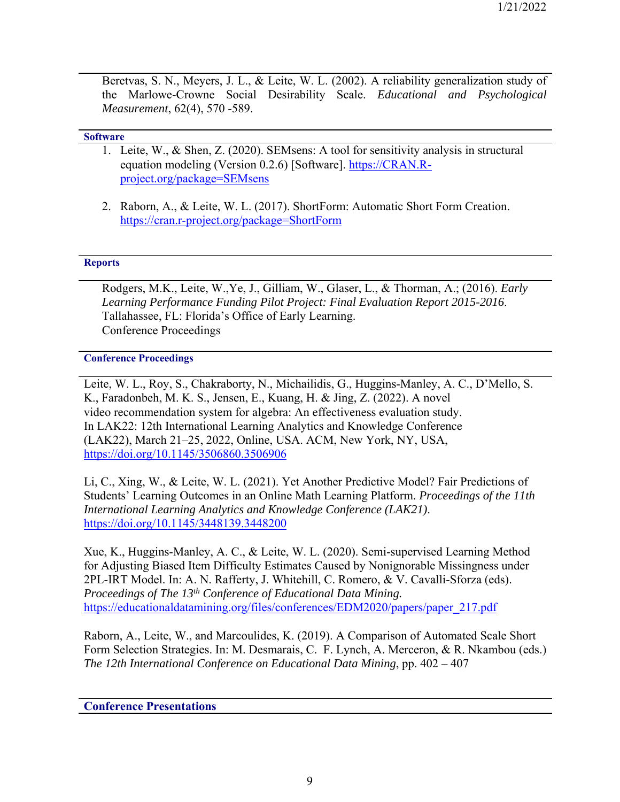Beretvas, S. N., Meyers, J. L., & Leite, W. L. (2002). A reliability generalization study of the Marlowe-Crowne Social Desirability Scale. *Educational and Psychological Measurement*, 62(4), 570 -589.

#### **Software**

- 1. Leite, W., & Shen, Z. (2020). SEMsens: A tool for sensitivity analysis in structural equation modeling (Version 0.2.6) [Software]. https://CRAN.Rproject.org/package=SEMsens
- 2. Raborn, A., & Leite, W. L. (2017). ShortForm: Automatic Short Form Creation. https://cran.r-project.org/package=ShortForm

#### **Reports**

Rodgers, M.K., Leite, W.,Ye, J., Gilliam, W., Glaser, L., & Thorman, A.; (2016). *Early Learning Performance Funding Pilot Project: Final Evaluation Report 2015-2016*. Tallahassee, FL: Florida's Office of Early Learning. Conference Proceedings

#### **Conference Proceedings**

Leite, W. L., Roy, S., Chakraborty, N., Michailidis, G., Huggins-Manley, A. C., D'Mello, S. K., Faradonbeh, M. K. S., Jensen, E., Kuang, H. & Jing, Z. (2022). A novel video recommendation system for algebra: An effectiveness evaluation study. In LAK22: 12th International Learning Analytics and Knowledge Conference (LAK22), March 21–25, 2022, Online, USA. ACM, New York, NY, USA, https://doi.org/10.1145/3506860.3506906

Li, C., Xing, W., & Leite, W. L. (2021). Yet Another Predictive Model? Fair Predictions of Students' Learning Outcomes in an Online Math Learning Platform. *Proceedings of the 11th International Learning Analytics and Knowledge Conference (LAK21)*. https://doi.org/10.1145/3448139.3448200

Xue, K., Huggins-Manley, A. C., & Leite, W. L. (2020). Semi-supervised Learning Method for Adjusting Biased Item Difficulty Estimates Caused by Nonignorable Missingness under 2PL-IRT Model. In: A. N. Rafferty, J. Whitehill, C. Romero, & V. Cavalli-Sforza (eds). *Proceedings of The 13th Conference of Educational Data Mining.*  https://educationaldatamining.org/files/conferences/EDM2020/papers/paper\_217.pdf

Raborn, A., Leite, W., and Marcoulides, K. (2019). A Comparison of Automated Scale Short Form Selection Strategies. In: M. Desmarais, C. F. Lynch, A. Merceron, & R. Nkambou (eds.) *The 12th International Conference on Educational Data Mining*, pp. 402 – 407

#### **Conference Presentations**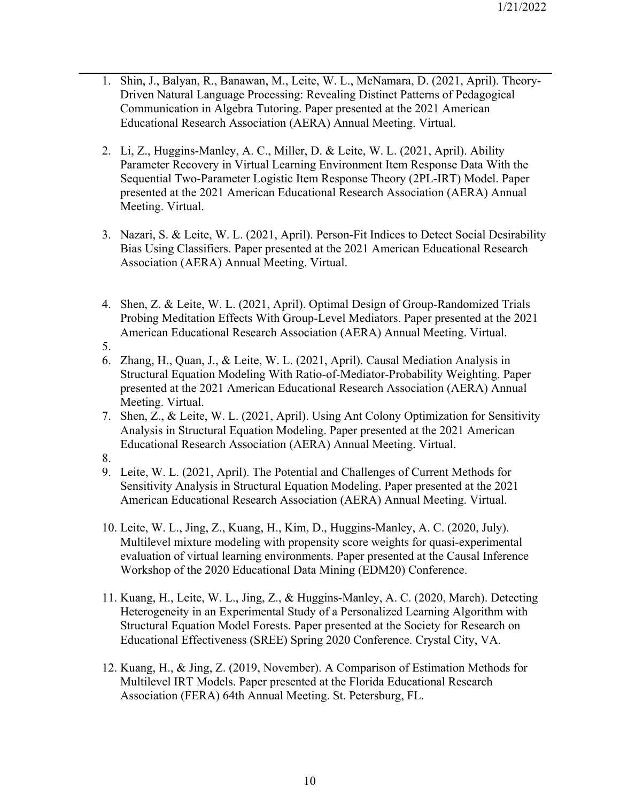- 1. Shin, J., Balyan, R., Banawan, M., Leite, W. L., McNamara, D. (2021, April). Theory-Driven Natural Language Processing: Revealing Distinct Patterns of Pedagogical Communication in Algebra Tutoring. Paper presented at the 2021 American Educational Research Association (AERA) Annual Meeting. Virtual.
- 2. Li, Z., Huggins-Manley, A. C., Miller, D. & Leite, W. L. (2021, April). Ability Parameter Recovery in Virtual Learning Environment Item Response Data With the Sequential Two-Parameter Logistic Item Response Theory (2PL-IRT) Model. Paper presented at the 2021 American Educational Research Association (AERA) Annual Meeting. Virtual.
- 3. Nazari, S. & Leite, W. L. (2021, April). Person-Fit Indices to Detect Social Desirability Bias Using Classifiers. Paper presented at the 2021 American Educational Research Association (AERA) Annual Meeting. Virtual.
- 4. Shen, Z. & Leite, W. L. (2021, April). Optimal Design of Group-Randomized Trials Probing Meditation Effects With Group-Level Mediators. Paper presented at the 2021 American Educational Research Association (AERA) Annual Meeting. Virtual.
- 5.
- 6. Zhang, H., Quan, J., & Leite, W. L. (2021, April). Causal Mediation Analysis in Structural Equation Modeling With Ratio-of-Mediator-Probability Weighting. Paper presented at the 2021 American Educational Research Association (AERA) Annual Meeting. Virtual.
- 7. Shen, Z., & Leite, W. L. (2021, April). Using Ant Colony Optimization for Sensitivity Analysis in Structural Equation Modeling. Paper presented at the 2021 American Educational Research Association (AERA) Annual Meeting. Virtual.
- 8.
- 9. Leite, W. L. (2021, April). The Potential and Challenges of Current Methods for Sensitivity Analysis in Structural Equation Modeling. Paper presented at the 2021 American Educational Research Association (AERA) Annual Meeting. Virtual.
- 10. Leite, W. L., Jing, Z., Kuang, H., Kim, D., Huggins-Manley, A. C. (2020, July). Multilevel mixture modeling with propensity score weights for quasi-experimental evaluation of virtual learning environments. Paper presented at the Causal Inference Workshop of the 2020 Educational Data Mining (EDM20) Conference.
- 11. Kuang, H., Leite, W. L., Jing, Z., & Huggins-Manley, A. C. (2020, March). Detecting Heterogeneity in an Experimental Study of a Personalized Learning Algorithm with Structural Equation Model Forests. Paper presented at the Society for Research on Educational Effectiveness (SREE) Spring 2020 Conference. Crystal City, VA.
- 12. Kuang, H., & Jing, Z. (2019, November). A Comparison of Estimation Methods for Multilevel IRT Models. Paper presented at the Florida Educational Research Association (FERA) 64th Annual Meeting. St. Petersburg, FL.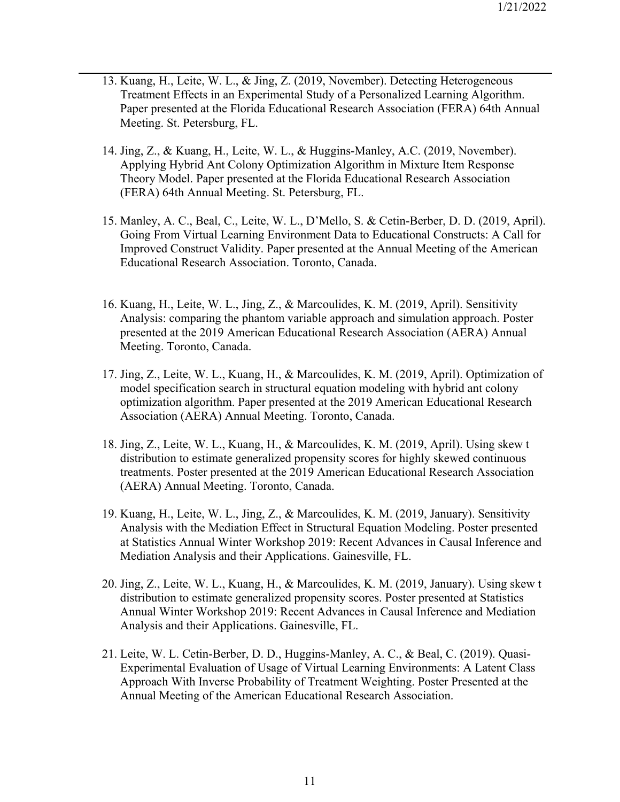- 13. Kuang, H., Leite, W. L., & Jing, Z. (2019, November). Detecting Heterogeneous Treatment Effects in an Experimental Study of a Personalized Learning Algorithm. Paper presented at the Florida Educational Research Association (FERA) 64th Annual Meeting. St. Petersburg, FL.
- 14. Jing, Z., & Kuang, H., Leite, W. L., & Huggins-Manley, A.C. (2019, November). Applying Hybrid Ant Colony Optimization Algorithm in Mixture Item Response Theory Model. Paper presented at the Florida Educational Research Association (FERA) 64th Annual Meeting. St. Petersburg, FL.
- 15. Manley, A. C., Beal, C., Leite, W. L., D'Mello, S. & Cetin-Berber, D. D. (2019, April). Going From Virtual Learning Environment Data to Educational Constructs: A Call for Improved Construct Validity. Paper presented at the Annual Meeting of the American Educational Research Association. Toronto, Canada.
- 16. Kuang, H., Leite, W. L., Jing, Z., & Marcoulides, K. M. (2019, April). Sensitivity Analysis: comparing the phantom variable approach and simulation approach. Poster presented at the 2019 American Educational Research Association (AERA) Annual Meeting. Toronto, Canada.
- 17. Jing, Z., Leite, W. L., Kuang, H., & Marcoulides, K. M. (2019, April). Optimization of model specification search in structural equation modeling with hybrid ant colony optimization algorithm. Paper presented at the 2019 American Educational Research Association (AERA) Annual Meeting. Toronto, Canada.
- 18. Jing, Z., Leite, W. L., Kuang, H., & Marcoulides, K. M. (2019, April). Using skew t distribution to estimate generalized propensity scores for highly skewed continuous treatments. Poster presented at the 2019 American Educational Research Association (AERA) Annual Meeting. Toronto, Canada.
- 19. Kuang, H., Leite, W. L., Jing, Z., & Marcoulides, K. M. (2019, January). Sensitivity Analysis with the Mediation Effect in Structural Equation Modeling. Poster presented at Statistics Annual Winter Workshop 2019: Recent Advances in Causal Inference and Mediation Analysis and their Applications. Gainesville, FL.
- 20. Jing, Z., Leite, W. L., Kuang, H., & Marcoulides, K. M. (2019, January). Using skew t distribution to estimate generalized propensity scores. Poster presented at Statistics Annual Winter Workshop 2019: Recent Advances in Causal Inference and Mediation Analysis and their Applications. Gainesville, FL.
- 21. Leite, W. L. Cetin-Berber, D. D., Huggins-Manley, A. C., & Beal, C. (2019). Quasi-Experimental Evaluation of Usage of Virtual Learning Environments: A Latent Class Approach With Inverse Probability of Treatment Weighting. Poster Presented at the Annual Meeting of the American Educational Research Association.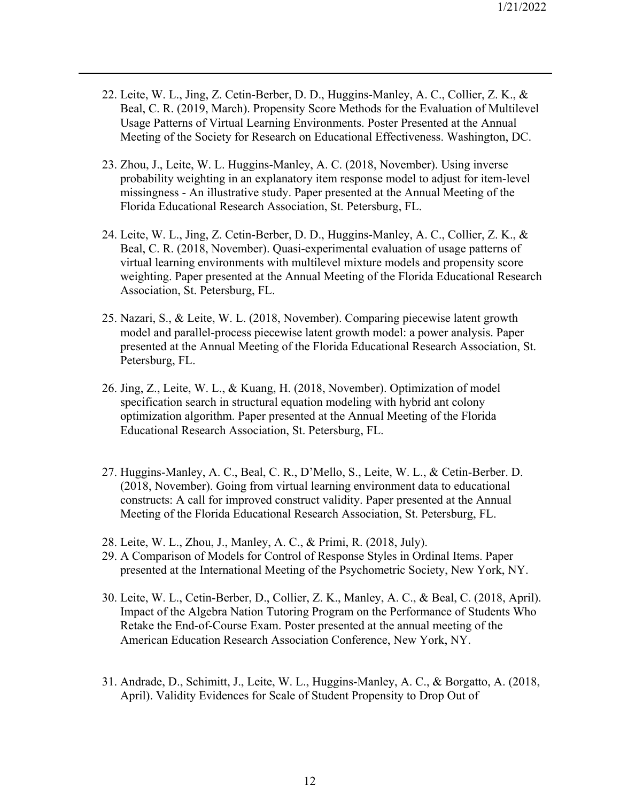- 22. Leite, W. L., Jing, Z. Cetin-Berber, D. D., Huggins-Manley, A. C., Collier, Z. K., & Beal, C. R. (2019, March). Propensity Score Methods for the Evaluation of Multilevel Usage Patterns of Virtual Learning Environments. Poster Presented at the Annual Meeting of the Society for Research on Educational Effectiveness. Washington, DC.
- 23. Zhou, J., Leite, W. L. Huggins-Manley, A. C. (2018, November). Using inverse probability weighting in an explanatory item response model to adjust for item-level missingness - An illustrative study. Paper presented at the Annual Meeting of the Florida Educational Research Association, St. Petersburg, FL.
- 24. Leite, W. L., Jing, Z. Cetin-Berber, D. D., Huggins-Manley, A. C., Collier, Z. K., & Beal, C. R. (2018, November). Quasi-experimental evaluation of usage patterns of virtual learning environments with multilevel mixture models and propensity score weighting. Paper presented at the Annual Meeting of the Florida Educational Research Association, St. Petersburg, FL.
- 25. Nazari, S., & Leite, W. L. (2018, November). Comparing piecewise latent growth model and parallel-process piecewise latent growth model: a power analysis. Paper presented at the Annual Meeting of the Florida Educational Research Association, St. Petersburg, FL.
- 26. Jing, Z., Leite, W. L., & Kuang, H. (2018, November). Optimization of model specification search in structural equation modeling with hybrid ant colony optimization algorithm. Paper presented at the Annual Meeting of the Florida Educational Research Association, St. Petersburg, FL.
- 27. Huggins-Manley, A. C., Beal, C. R., D'Mello, S., Leite, W. L., & Cetin-Berber. D. (2018, November). Going from virtual learning environment data to educational constructs: A call for improved construct validity. Paper presented at the Annual Meeting of the Florida Educational Research Association, St. Petersburg, FL.
- 28. Leite, W. L., Zhou, J., Manley, A. C., & Primi, R. (2018, July).
- 29. A Comparison of Models for Control of Response Styles in Ordinal Items. Paper presented at the International Meeting of the Psychometric Society, New York, NY.
- 30. Leite, W. L., Cetin-Berber, D., Collier, Z. K., Manley, A. C., & Beal, C. (2018, April). Impact of the Algebra Nation Tutoring Program on the Performance of Students Who Retake the End-of-Course Exam. Poster presented at the annual meeting of the American Education Research Association Conference, New York, NY.
- 31. Andrade, D., Schimitt, J., Leite, W. L., Huggins-Manley, A. C., & Borgatto, A. (2018, April). Validity Evidences for Scale of Student Propensity to Drop Out of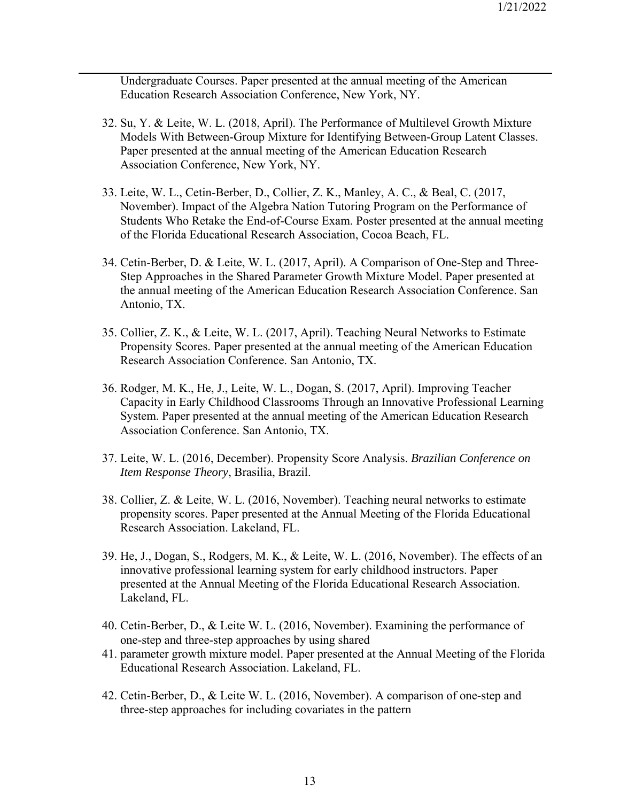Undergraduate Courses. Paper presented at the annual meeting of the American Education Research Association Conference, New York, NY.

- 32. Su, Y. & Leite, W. L. (2018, April). The Performance of Multilevel Growth Mixture Models With Between-Group Mixture for Identifying Between-Group Latent Classes. Paper presented at the annual meeting of the American Education Research Association Conference, New York, NY.
- 33. Leite, W. L., Cetin-Berber, D., Collier, Z. K., Manley, A. C., & Beal, C. (2017, November). Impact of the Algebra Nation Tutoring Program on the Performance of Students Who Retake the End-of-Course Exam. Poster presented at the annual meeting of the Florida Educational Research Association, Cocoa Beach, FL.
- 34. Cetin-Berber, D. & Leite, W. L. (2017, April). A Comparison of One-Step and Three-Step Approaches in the Shared Parameter Growth Mixture Model. Paper presented at the annual meeting of the American Education Research Association Conference. San Antonio, TX.
- 35. Collier, Z. K., & Leite, W. L. (2017, April). Teaching Neural Networks to Estimate Propensity Scores. Paper presented at the annual meeting of the American Education Research Association Conference. San Antonio, TX.
- 36. Rodger, M. K., He, J., Leite, W. L., Dogan, S. (2017, April). Improving Teacher Capacity in Early Childhood Classrooms Through an Innovative Professional Learning System. Paper presented at the annual meeting of the American Education Research Association Conference. San Antonio, TX.
- 37. Leite, W. L. (2016, December). Propensity Score Analysis. *Brazilian Conference on Item Response Theory*, Brasilia, Brazil.
- 38. Collier, Z. & Leite, W. L. (2016, November). Teaching neural networks to estimate propensity scores. Paper presented at the Annual Meeting of the Florida Educational Research Association. Lakeland, FL.
- 39. He, J., Dogan, S., Rodgers, M. K., & Leite, W. L. (2016, November). The effects of an innovative professional learning system for early childhood instructors. Paper presented at the Annual Meeting of the Florida Educational Research Association. Lakeland, FL.
- 40. Cetin-Berber, D., & Leite W. L. (2016, November). Examining the performance of one‐step and three‐step approaches by using shared
- 41. parameter growth mixture model. Paper presented at the Annual Meeting of the Florida Educational Research Association. Lakeland, FL.
- 42. Cetin-Berber, D., & Leite W. L. (2016, November). A comparison of one‐step and three‐step approaches for including covariates in the pattern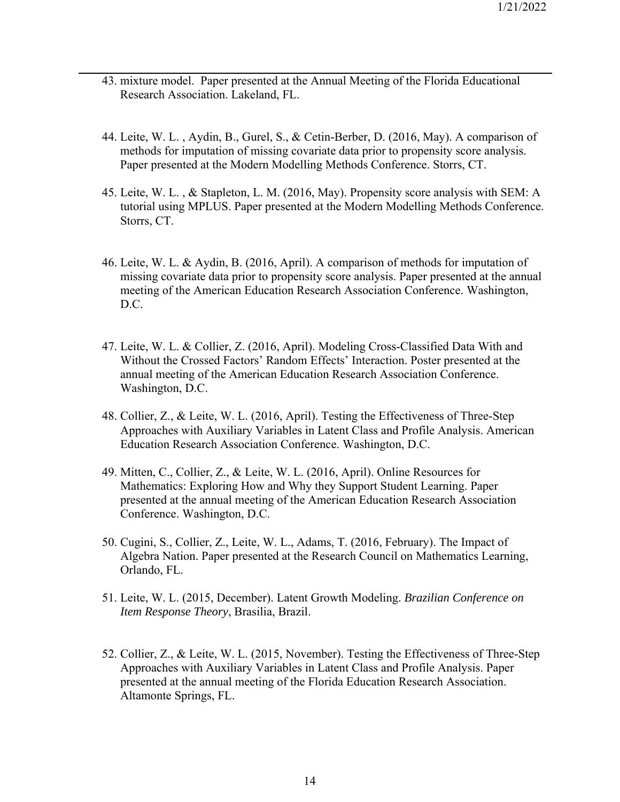- 43. mixture model. Paper presented at the Annual Meeting of the Florida Educational Research Association. Lakeland, FL.
- 44. Leite, W. L. , Aydin, B., Gurel, S., & Cetin-Berber, D. (2016, May). A comparison of methods for imputation of missing covariate data prior to propensity score analysis. Paper presented at the Modern Modelling Methods Conference. Storrs, CT.
- 45. Leite, W. L. , & Stapleton, L. M. (2016, May). Propensity score analysis with SEM: A tutorial using MPLUS. Paper presented at the Modern Modelling Methods Conference. Storrs, CT.
- 46. Leite, W. L. & Aydin, B. (2016, April). A comparison of methods for imputation of missing covariate data prior to propensity score analysis. Paper presented at the annual meeting of the American Education Research Association Conference. Washington, D.C.
- 47. Leite, W. L. & Collier, Z. (2016, April). Modeling Cross-Classified Data With and Without the Crossed Factors' Random Effects' Interaction. Poster presented at the annual meeting of the American Education Research Association Conference. Washington, D.C.
- 48. Collier, Z., & Leite, W. L. (2016, April). Testing the Effectiveness of Three-Step Approaches with Auxiliary Variables in Latent Class and Profile Analysis. American Education Research Association Conference. Washington, D.C.
- 49. Mitten, C., Collier, Z., & Leite, W. L. (2016, April). Online Resources for Mathematics: Exploring How and Why they Support Student Learning. Paper presented at the annual meeting of the American Education Research Association Conference. Washington, D.C.
- 50. Cugini, S., Collier, Z., Leite, W. L., Adams, T. (2016, February). The Impact of Algebra Nation. Paper presented at the Research Council on Mathematics Learning, Orlando, FL.
- 51. Leite, W. L. (2015, December). Latent Growth Modeling. *Brazilian Conference on Item Response Theory*, Brasilia, Brazil.
- 52. Collier, Z., & Leite, W. L. (2015, November). Testing the Effectiveness of Three-Step Approaches with Auxiliary Variables in Latent Class and Profile Analysis. Paper presented at the annual meeting of the Florida Education Research Association. Altamonte Springs, FL.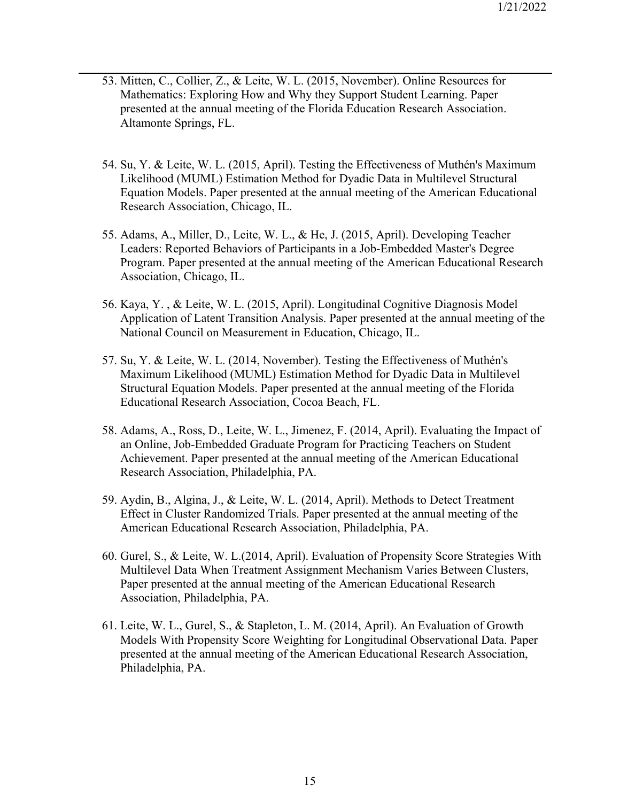- 53. Mitten, C., Collier, Z., & Leite, W. L. (2015, November). Online Resources for Mathematics: Exploring How and Why they Support Student Learning. Paper presented at the annual meeting of the Florida Education Research Association. Altamonte Springs, FL.
- 54. Su, Y. & Leite, W. L. (2015, April). Testing the Effectiveness of Muthén's Maximum Likelihood (MUML) Estimation Method for Dyadic Data in Multilevel Structural Equation Models. Paper presented at the annual meeting of the American Educational Research Association, Chicago, IL.
- 55. Adams, A., Miller, D., Leite, W. L., & He, J. (2015, April). Developing Teacher Leaders: Reported Behaviors of Participants in a Job-Embedded Master's Degree Program. Paper presented at the annual meeting of the American Educational Research Association, Chicago, IL.
- 56. Kaya, Y. , & Leite, W. L. (2015, April). Longitudinal Cognitive Diagnosis Model Application of Latent Transition Analysis. Paper presented at the annual meeting of the National Council on Measurement in Education, Chicago, IL.
- 57. Su, Y. & Leite, W. L. (2014, November). Testing the Effectiveness of Muthén's Maximum Likelihood (MUML) Estimation Method for Dyadic Data in Multilevel Structural Equation Models. Paper presented at the annual meeting of the Florida Educational Research Association, Cocoa Beach, FL.
- 58. Adams, A., Ross, D., Leite, W. L., Jimenez, F. (2014, April). Evaluating the Impact of an Online, Job-Embedded Graduate Program for Practicing Teachers on Student Achievement. Paper presented at the annual meeting of the American Educational Research Association, Philadelphia, PA.
- 59. Aydin, B., Algina, J., & Leite, W. L. (2014, April). Methods to Detect Treatment Effect in Cluster Randomized Trials. Paper presented at the annual meeting of the American Educational Research Association, Philadelphia, PA.
- 60. Gurel, S., & Leite, W. L.(2014, April). Evaluation of Propensity Score Strategies With Multilevel Data When Treatment Assignment Mechanism Varies Between Clusters, Paper presented at the annual meeting of the American Educational Research Association, Philadelphia, PA.
- 61. Leite, W. L., Gurel, S., & Stapleton, L. M. (2014, April). An Evaluation of Growth Models With Propensity Score Weighting for Longitudinal Observational Data. Paper presented at the annual meeting of the American Educational Research Association, Philadelphia, PA.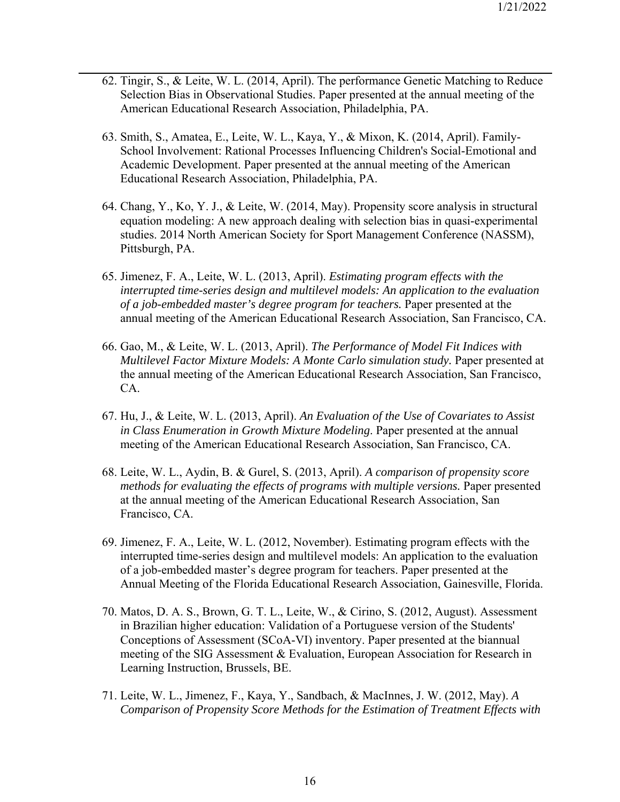- 62. Tingir, S., & Leite, W. L. (2014, April). The performance Genetic Matching to Reduce Selection Bias in Observational Studies. Paper presented at the annual meeting of the American Educational Research Association, Philadelphia, PA.
- 63. Smith, S., Amatea, E., Leite, W. L., Kaya, Y., & Mixon, K. (2014, April). Family-School Involvement: Rational Processes Influencing Children's Social-Emotional and Academic Development. Paper presented at the annual meeting of the American Educational Research Association, Philadelphia, PA.
- 64. Chang, Y., Ko, Y. J., & Leite, W. (2014, May). Propensity score analysis in structural equation modeling: A new approach dealing with selection bias in quasi-experimental studies. 2014 North American Society for Sport Management Conference (NASSM), Pittsburgh, PA.
- 65. Jimenez, F. A., Leite, W. L. (2013, April). *Estimating program effects with the interrupted time-series design and multilevel models: An application to the evaluation of a job-embedded master's degree program for teachers.* Paper presented at the annual meeting of the American Educational Research Association, San Francisco, CA.
- 66. Gao, M., & Leite, W. L. (2013, April). *The Performance of Model Fit Indices with Multilevel Factor Mixture Models: A Monte Carlo simulation study.* Paper presented at the annual meeting of the American Educational Research Association, San Francisco, CA.
- 67. Hu, J., & Leite, W. L. (2013, April). *An Evaluation of the Use of Covariates to Assist in Class Enumeration in Growth Mixture Modeling*. Paper presented at the annual meeting of the American Educational Research Association, San Francisco, CA.
- 68. Leite, W. L., Aydin, B. & Gurel, S. (2013, April). *A comparison of propensity score methods for evaluating the effects of programs with multiple versions.* Paper presented at the annual meeting of the American Educational Research Association, San Francisco, CA.
- 69. Jimenez, F. A., Leite, W. L. (2012, November). Estimating program effects with the interrupted time-series design and multilevel models: An application to the evaluation of a job-embedded master's degree program for teachers. Paper presented at the Annual Meeting of the Florida Educational Research Association, Gainesville, Florida.
- 70. Matos, D. A. S., Brown, G. T. L., Leite, W., & Cirino, S. (2012, August). Assessment in Brazilian higher education: Validation of a Portuguese version of the Students' Conceptions of Assessment (SCoA-VI) inventory. Paper presented at the biannual meeting of the SIG Assessment & Evaluation, European Association for Research in Learning Instruction, Brussels, BE.
- 71. Leite, W. L., Jimenez, F., Kaya, Y., Sandbach, & MacInnes, J. W. (2012, May). *A Comparison of Propensity Score Methods for the Estimation of Treatment Effects with*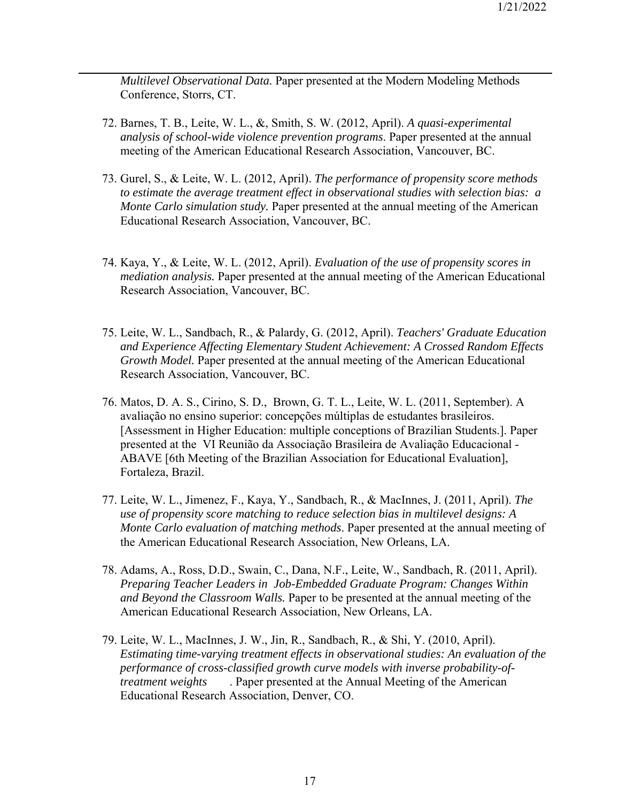*Multilevel Observational Data.* Paper presented at the Modern Modeling Methods Conference, Storrs, CT.

- 72. Barnes, T. B., Leite, W. L., &, Smith, S. W. (2012, April). *A quasi-experimental analysis of school-wide violence prevention programs*. Paper presented at the annual meeting of the American Educational Research Association, Vancouver, BC.
- 73. Gurel, S., & Leite, W. L. (2012, April). *The performance of propensity score methods to estimate the average treatment effect in observational studies with selection bias: a Monte Carlo simulation study.* Paper presented at the annual meeting of the American Educational Research Association, Vancouver, BC.
- 74. Kaya, Y., & Leite, W. L. (2012, April). *Evaluation of the use of propensity scores in mediation analysis.* Paper presented at the annual meeting of the American Educational Research Association, Vancouver, BC.
- 75. Leite, W. L., Sandbach, R., & Palardy, G. (2012, April). *Teachers' Graduate Education and Experience Affecting Elementary Student Achievement: A Crossed Random Effects Growth Model.* Paper presented at the annual meeting of the American Educational Research Association, Vancouver, BC.
- 76. Matos, D. A. S., Cirino, S. D., Brown, G. T. L., Leite, W. L. (2011, September). A avaliação no ensino superior: concepções múltiplas de estudantes brasileiros. [Assessment in Higher Education: multiple conceptions of Brazilian Students.]. Paper presented at the VI Reunião da Associação Brasileira de Avaliação Educacional - ABAVE [6th Meeting of the Brazilian Association for Educational Evaluation], Fortaleza, Brazil.
- 77. Leite, W. L., Jimenez, F., Kaya, Y., Sandbach, R., & MacInnes, J. (2011, April). *The use of propensity score matching to reduce selection bias in multilevel designs: A Monte Carlo evaluation of matching methods*. Paper presented at the annual meeting of the American Educational Research Association, New Orleans, LA.
- 78. Adams, A., Ross, D.D., Swain, C., Dana, N.F., Leite, W., Sandbach, R. (2011, April). *Preparing Teacher Leaders in Job-Embedded Graduate Program: Changes Within and Beyond the Classroom Walls.* Paper to be presented at the annual meeting of the American Educational Research Association, New Orleans, LA.
- 79. Leite, W. L., MacInnes, J. W., Jin, R., Sandbach, R., & Shi, Y. (2010, April). *Estimating time-varying treatment effects in observational studies: An evaluation of the performance of cross-classified growth curve models with inverse probability-oftreatment weights* . Paper presented at the Annual Meeting of the American Educational Research Association, Denver, CO.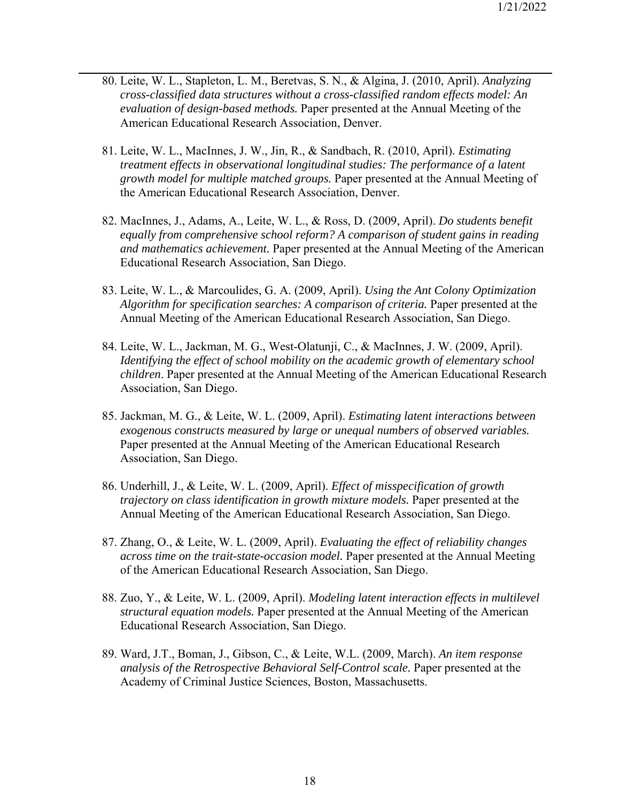- 80. Leite, W. L., Stapleton, L. M., Beretvas, S. N., & Algina, J. (2010, April). *Analyzing cross-classified data structures without a cross-classified random effects model: An evaluation of design-based methods.* Paper presented at the Annual Meeting of the American Educational Research Association, Denver.
- 81. Leite, W. L., MacInnes, J. W., Jin, R., & Sandbach, R. (2010, April). *Estimating treatment effects in observational longitudinal studies: The performance of a latent growth model for multiple matched groups.* Paper presented at the Annual Meeting of the American Educational Research Association, Denver.
- 82. MacInnes, J., Adams, A., Leite, W. L., & Ross, D. (2009, April). *Do students benefit equally from comprehensive school reform? A comparison of student gains in reading and mathematics achievement.* Paper presented at the Annual Meeting of the American Educational Research Association, San Diego.
- 83. Leite, W. L., & Marcoulides, G. A. (2009, April). *Using the Ant Colony Optimization Algorithm for specification searches: A comparison of criteria.* Paper presented at the Annual Meeting of the American Educational Research Association, San Diego.
- 84. Leite, W. L., Jackman, M. G., West-Olatunji, C., & MacInnes, J. W. (2009, April). *Identifying the effect of school mobility on the academic growth of elementary school children*. Paper presented at the Annual Meeting of the American Educational Research Association, San Diego.
- 85. Jackman, M. G., & Leite, W. L. (2009, April). *Estimating latent interactions between exogenous constructs measured by large or unequal numbers of observed variables.* Paper presented at the Annual Meeting of the American Educational Research Association, San Diego.
- 86. Underhill, J., & Leite, W. L. (2009, April). *Effect of misspecification of growth trajectory on class identification in growth mixture models.* Paper presented at the Annual Meeting of the American Educational Research Association, San Diego.
- 87. Zhang, O., & Leite, W. L. (2009, April). *Evaluating the effect of reliability changes across time on the trait-state-occasion model.* Paper presented at the Annual Meeting of the American Educational Research Association, San Diego.
- 88. Zuo, Y., & Leite, W. L. (2009, April). *Modeling latent interaction effects in multilevel structural equation models.* Paper presented at the Annual Meeting of the American Educational Research Association, San Diego.
- 89. Ward, J.T., Boman, J., Gibson, C., & Leite, W.L. (2009, March). *An item response analysis of the Retrospective Behavioral Self-Control scale.* Paper presented at the Academy of Criminal Justice Sciences, Boston, Massachusetts.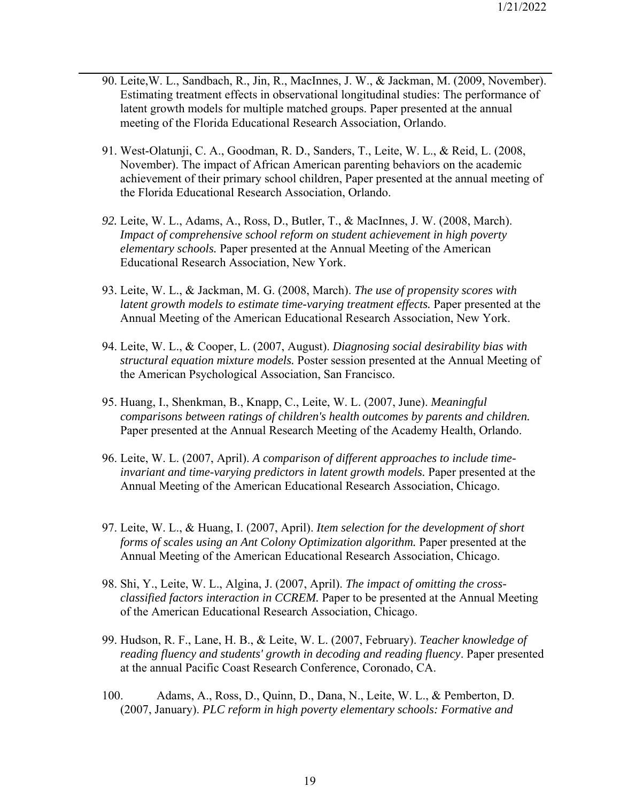- 90. Leite,W. L., Sandbach, R., Jin, R., MacInnes, J. W., & Jackman, M. (2009, November). Estimating treatment effects in observational longitudinal studies: The performance of latent growth models for multiple matched groups. Paper presented at the annual meeting of the Florida Educational Research Association, Orlando.
- 91. West-Olatunji, C. A., Goodman, R. D., Sanders, T., Leite, W. L., & Reid, L. (2008, November). The impact of African American parenting behaviors on the academic achievement of their primary school children, Paper presented at the annual meeting of the Florida Educational Research Association, Orlando.
- *92.* Leite, W. L., Adams, A., Ross, D., Butler, T., & MacInnes, J. W. (2008, March). *Impact of comprehensive school reform on student achievement in high poverty elementary schools.* Paper presented at the Annual Meeting of the American Educational Research Association, New York.
- 93. Leite, W. L., & Jackman, M. G. (2008, March). *The use of propensity scores with latent growth models to estimate time-varying treatment effects.* Paper presented at the Annual Meeting of the American Educational Research Association, New York.
- 94. Leite, W. L., & Cooper, L. (2007, August). *Diagnosing social desirability bias with structural equation mixture models.* Poster session presented at the Annual Meeting of the American Psychological Association, San Francisco.
- 95. Huang, I., Shenkman, B., Knapp, C., Leite, W. L. (2007, June). *Meaningful comparisons between ratings of children's health outcomes by parents and children.* Paper presented at the Annual Research Meeting of the Academy Health, Orlando.
- 96. Leite, W. L. (2007, April). *A comparison of different approaches to include timeinvariant and time-varying predictors in latent growth models.* Paper presented at the Annual Meeting of the American Educational Research Association, Chicago.
- 97. Leite, W. L., & Huang, I. (2007, April). *Item selection for the development of short forms of scales using an Ant Colony Optimization algorithm.* Paper presented at the Annual Meeting of the American Educational Research Association, Chicago.
- 98. Shi, Y., Leite, W. L., Algina, J. (2007, April). *The impact of omitting the crossclassified factors interaction in CCREM.* Paper to be presented at the Annual Meeting of the American Educational Research Association, Chicago.
- 99. Hudson, R. F., Lane, H. B., & Leite, W. L. (2007, February). *Teacher knowledge of reading fluency and students' growth in decoding and reading fluency*. Paper presented at the annual Pacific Coast Research Conference, Coronado, CA.
- 100. Adams, A., Ross, D., Quinn, D., Dana, N., Leite, W. L., & Pemberton, D. (2007, January). *PLC reform in high poverty elementary schools: Formative and*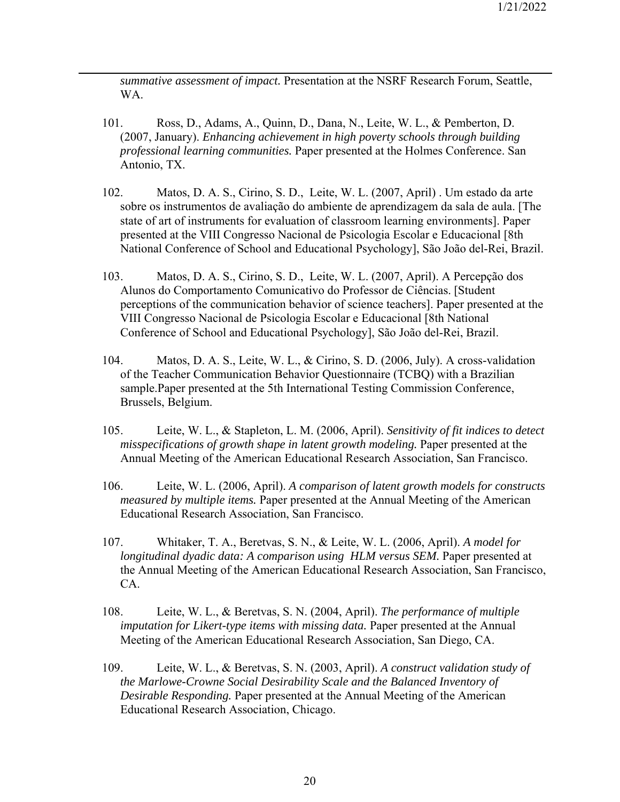*summative assessment of impact.* Presentation at the NSRF Research Forum, Seattle, WA.

- 101. Ross, D., Adams, A., Quinn, D., Dana, N., Leite, W. L., & Pemberton, D. (2007, January). *Enhancing achievement in high poverty schools through building professional learning communities.* Paper presented at the Holmes Conference. San Antonio, TX.
- 102. Matos, D. A. S., Cirino, S. D., Leite, W. L. (2007, April) . Um estado da arte sobre os instrumentos de avaliação do ambiente de aprendizagem da sala de aula. [The state of art of instruments for evaluation of classroom learning environments]. Paper presented at the VIII Congresso Nacional de Psicologia Escolar e Educacional [8th National Conference of School and Educational Psychology], São João del-Rei, Brazil.
- 103. Matos, D. A. S., Cirino, S. D., Leite, W. L. (2007, April). A Percepção dos Alunos do Comportamento Comunicativo do Professor de Ciências. [Student perceptions of the communication behavior of science teachers]. Paper presented at the VIII Congresso Nacional de Psicologia Escolar e Educacional [8th National Conference of School and Educational Psychology], São João del-Rei, Brazil.
- 104. Matos, D. A. S., Leite, W. L., & Cirino, S. D. (2006, July). A cross-validation of the Teacher Communication Behavior Questionnaire (TCBQ) with a Brazilian sample.Paper presented at the 5th International Testing Commission Conference, Brussels, Belgium.
- 105. Leite, W. L., & Stapleton, L. M. (2006, April). *Sensitivity of fit indices to detect misspecifications of growth shape in latent growth modeling.* Paper presented at the Annual Meeting of the American Educational Research Association, San Francisco.
- 106. Leite, W. L. (2006, April). *A comparison of latent growth models for constructs measured by multiple items.* Paper presented at the Annual Meeting of the American Educational Research Association, San Francisco.
- 107. Whitaker, T. A., Beretvas, S. N., & Leite, W. L. (2006, April). *A model for longitudinal dyadic data: A comparison using HLM versus SEM.* Paper presented at the Annual Meeting of the American Educational Research Association, San Francisco, CA.
- 108. Leite, W. L., & Beretvas, S. N. (2004, April). *The performance of multiple imputation for Likert-type items with missing data.* Paper presented at the Annual Meeting of the American Educational Research Association, San Diego, CA.
- 109. Leite, W. L., & Beretvas, S. N. (2003, April). *A construct validation study of the Marlowe-Crowne Social Desirability Scale and the Balanced Inventory of Desirable Responding.* Paper presented at the Annual Meeting of the American Educational Research Association, Chicago.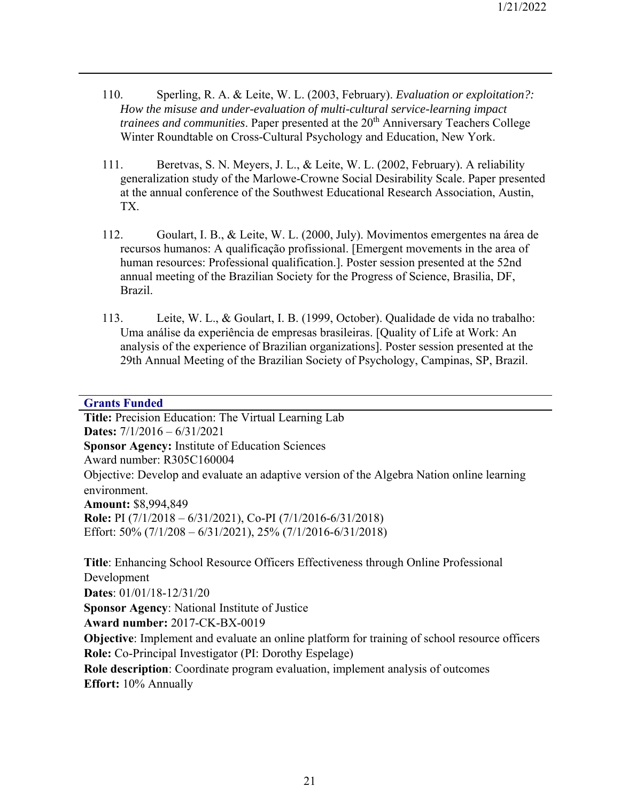- 110. Sperling, R. A. & Leite, W. L. (2003, February). *Evaluation or exploitation?: How the misuse and under-evaluation of multi-cultural service-learning impact trainees and communities*. Paper presented at the 20<sup>th</sup> Anniversary Teachers College Winter Roundtable on Cross-Cultural Psychology and Education, New York.
- 111. Beretvas, S. N. Meyers, J. L., & Leite, W. L. (2002, February). A reliability generalization study of the Marlowe-Crowne Social Desirability Scale. Paper presented at the annual conference of the Southwest Educational Research Association, Austin, TX.
- 112. Goulart, I. B., & Leite, W. L. (2000, July). Movimentos emergentes na área de recursos humanos: A qualificação profissional. [Emergent movements in the area of human resources: Professional qualification.]. Poster session presented at the 52nd annual meeting of the Brazilian Society for the Progress of Science, Brasilia, DF, Brazil.
- 113. Leite, W. L., & Goulart, I. B. (1999, October). Qualidade de vida no trabalho: Uma análise da experiência de empresas brasileiras. [Quality of Life at Work: An analysis of the experience of Brazilian organizations]. Poster session presented at the 29th Annual Meeting of the Brazilian Society of Psychology, Campinas, SP, Brazil.

## **Grants Funded**

**Title:** Precision Education: The Virtual Learning Lab **Dates:** 7/1/2016 – 6/31/2021 **Sponsor Agency:** Institute of Education Sciences Award number: R305C160004 Objective: Develop and evaluate an adaptive version of the Algebra Nation online learning environment. **Amount:** \$8,994,849 **Role:** PI (7/1/2018 – 6/31/2021), Co-PI (7/1/2016-6/31/2018) Effort: 50% (7/1/208 – 6/31/2021), 25% (7/1/2016-6/31/2018)

**Title**: Enhancing School Resource Officers Effectiveness through Online Professional Development **Dates**: 01/01/18-12/31/20 **Sponsor Agency**: National Institute of Justice **Award number:** 2017-CK-BX-0019 **Objective**: Implement and evaluate an online platform for training of school resource officers **Role:** Co-Principal Investigator (PI: Dorothy Espelage) **Role description**: Coordinate program evaluation, implement analysis of outcomes **Effort:** 10% Annually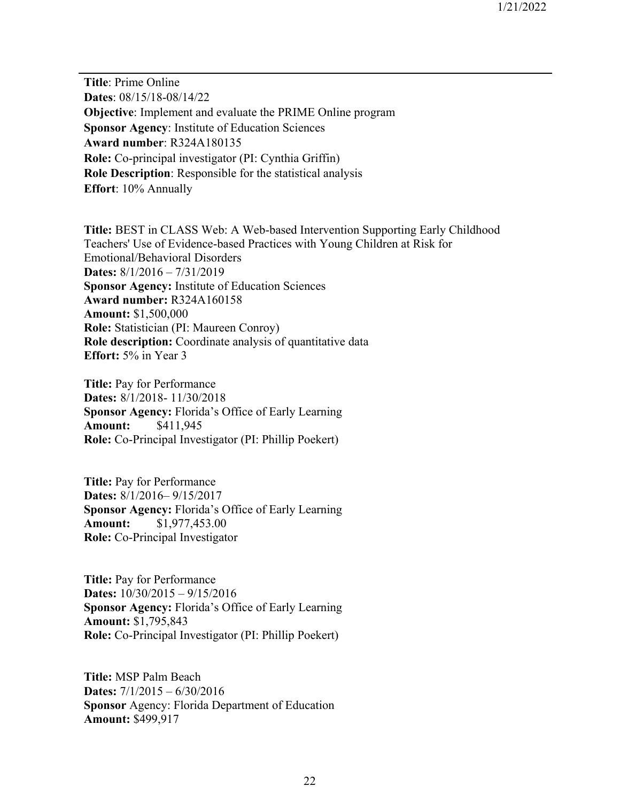**Title**: Prime Online **Dates**: 08/15/18-08/14/22 **Objective**: Implement and evaluate the PRIME Online program **Sponsor Agency**: Institute of Education Sciences **Award number**: R324A180135 **Role:** Co-principal investigator (PI: Cynthia Griffin) **Role Description**: Responsible for the statistical analysis **Effort**: 10% Annually

**Title:** BEST in CLASS Web: A Web-based Intervention Supporting Early Childhood Teachers' Use of Evidence-based Practices with Young Children at Risk for Emotional/Behavioral Disorders **Dates:** 8/1/2016 – 7/31/2019 **Sponsor Agency:** Institute of Education Sciences **Award number:** R324A160158 **Amount:** \$1,500,000 **Role:** Statistician (PI: Maureen Conroy) **Role description:** Coordinate analysis of quantitative data **Effort:** 5% in Year 3

**Title:** Pay for Performance **Dates:** 8/1/2018- 11/30/2018 **Sponsor Agency:** Florida's Office of Early Learning **Amount:** \$411,945 **Role:** Co-Principal Investigator (PI: Phillip Poekert)

**Title:** Pay for Performance **Dates:** 8/1/2016– 9/15/2017 **Sponsor Agency:** Florida's Office of Early Learning **Amount:** \$1,977,453.00 **Role:** Co-Principal Investigator

**Title:** Pay for Performance **Dates:** 10/30/2015 – 9/15/2016 **Sponsor Agency:** Florida's Office of Early Learning **Amount:** \$1,795,843 **Role:** Co-Principal Investigator (PI: Phillip Poekert)

**Title:** MSP Palm Beach **Dates:** 7/1/2015 – 6/30/2016 **Sponsor** Agency: Florida Department of Education **Amount:** \$499,917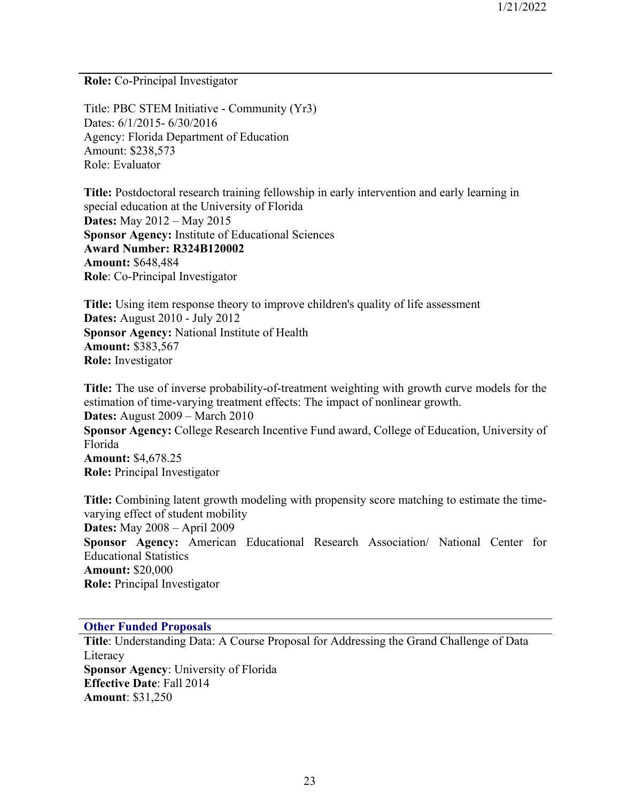**Role:** Co-Principal Investigator

Title: PBC STEM Initiative - Community (Yr3) Dates: 6/1/2015- 6/30/2016 Agency: Florida Department of Education Amount: \$238,573 Role: Evaluator

**Title:** Postdoctoral research training fellowship in early intervention and early learning in special education at the University of Florida **Dates:** May 2012 – May 2015 **Sponsor Agency:** Institute of Educational Sciences **Award Number: R324B120002 Amount:** \$648,484 **Role**: Co-Principal Investigator

**Title:** Using item response theory to improve children's quality of life assessment **Dates:** August 2010 - July 2012 **Sponsor Agency:** National Institute of Health **Amount:** \$383,567 **Role:** Investigator

**Title:** The use of inverse probability-of-treatment weighting with growth curve models for the estimation of time-varying treatment effects: The impact of nonlinear growth. **Dates:** August 2009 – March 2010 **Sponsor Agency:** College Research Incentive Fund award, College of Education, University of Florida **Amount:** \$4,678.25 **Role:** Principal Investigator

**Title:** Combining latent growth modeling with propensity score matching to estimate the timevarying effect of student mobility **Dates:** May 2008 – April 2009 **Sponsor Agency:** American Educational Research Association/ National Center for Educational Statistics **Amount:** \$20,000 **Role:** Principal Investigator

# **Other Funded Proposals**

**Title**: Understanding Data: A Course Proposal for Addressing the Grand Challenge of Data Literacy **Sponsor Agency**: University of Florida **Effective Date**: Fall 2014 **Amount**: \$31,250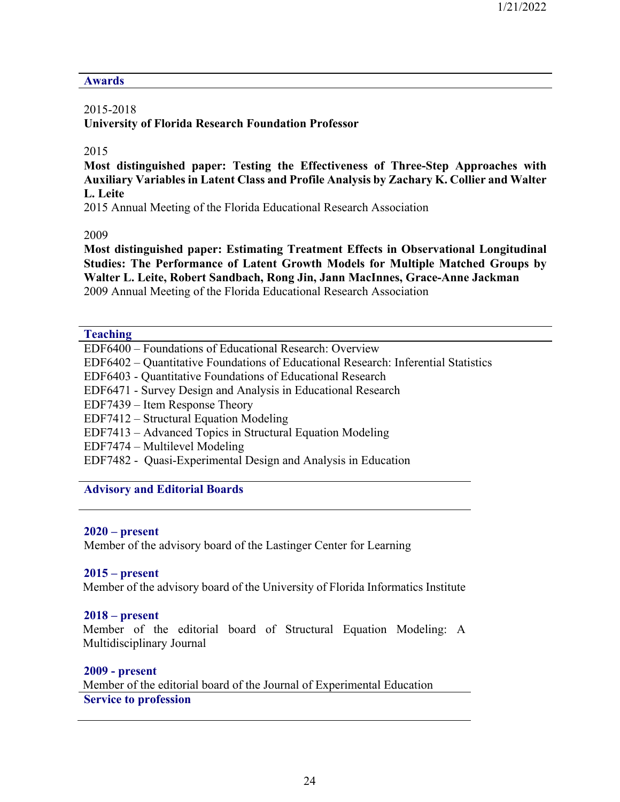### **Awards**

## 2015-2018

**University of Florida Research Foundation Professor** 

## 2015

**Most distinguished paper: Testing the Effectiveness of Three-Step Approaches with Auxiliary Variables in Latent Class and Profile Analysis by Zachary K. Collier and Walter L. Leite** 

2015 Annual Meeting of the Florida Educational Research Association

2009

**Most distinguished paper: Estimating Treatment Effects in Observational Longitudinal Studies: The Performance of Latent Growth Models for Multiple Matched Groups by Walter L. Leite, Robert Sandbach, Rong Jin, Jann MacInnes, Grace-Anne Jackman**  2009 Annual Meeting of the Florida Educational Research Association

#### **Teaching**

| EDF6400 - Foundations of Educational Research: Overview                            |
|------------------------------------------------------------------------------------|
| EDF6402 – Quantitative Foundations of Educational Research: Inferential Statistics |
| EDF6403 - Quantitative Foundations of Educational Research                         |
| EDF6471 - Survey Design and Analysis in Educational Research                       |
| EDF7439 – Item Response Theory                                                     |
| EDF7412 – Structural Equation Modeling                                             |
| EDF7413 - Advanced Topics in Structural Equation Modeling                          |
| EDF7474 – Multilevel Modeling                                                      |
| EDF7482 - Quasi-Experimental Design and Analysis in Education                      |
|                                                                                    |

#### **Advisory and Editorial Boards**

## **2020 – present**

Member of the advisory board of the Lastinger Center for Learning

#### **2015 – present**

Member of the advisory board of the University of Florida Informatics Institute

#### **2018 – present**

Member of the editorial board of Structural Equation Modeling: A Multidisciplinary Journal

#### **2009 - present**

Member of the editorial board of the Journal of Experimental Education **Service to profession**